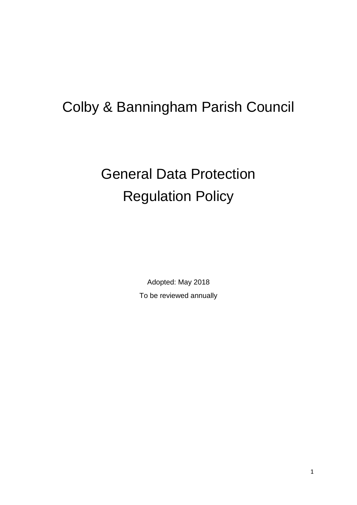# Colby & Banningham Parish Council

# General Data Protection Regulation Policy

Adopted: May 2018 To be reviewed annually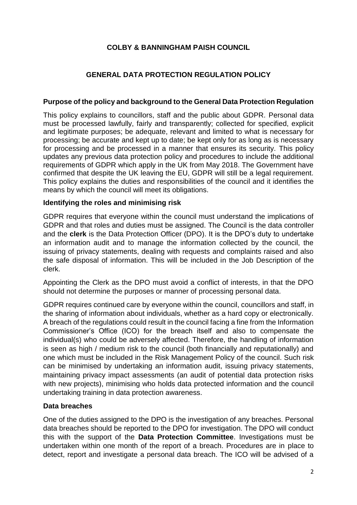# **COLBY & BANNINGHAM PAISH COUNCIL**

# **GENERAL DATA PROTECTION REGULATION POLICY**

#### **Purpose of the policy and background to the General Data Protection Regulation**

This policy explains to councillors, staff and the public about GDPR. Personal data must be processed lawfully, fairly and transparently; collected for specified, explicit and legitimate purposes; be adequate, relevant and limited to what is necessary for processing; be accurate and kept up to date; be kept only for as long as is necessary for processing and be processed in a manner that ensures its security. This policy updates any previous data protection policy and procedures to include the additional requirements of GDPR which apply in the UK from May 2018. The Government have confirmed that despite the UK leaving the EU, GDPR will still be a legal requirement. This policy explains the duties and responsibilities of the council and it identifies the means by which the council will meet its obligations.

#### **Identifying the roles and minimising risk**

GDPR requires that everyone within the council must understand the implications of GDPR and that roles and duties must be assigned. The Council is the data controller and the **clerk** is the Data Protection Officer (DPO). It is the DPO's duty to undertake an information audit and to manage the information collected by the council, the issuing of privacy statements, dealing with requests and complaints raised and also the safe disposal of information. This will be included in the Job Description of the clerk.

Appointing the Clerk as the DPO must avoid a conflict of interests, in that the DPO should not determine the purposes or manner of processing personal data.

GDPR requires continued care by everyone within the council, councillors and staff, in the sharing of information about individuals, whether as a hard copy or electronically. A breach of the regulations could result in the council facing a fine from the Information Commissioner's Office (ICO) for the breach itself and also to compensate the individual(s) who could be adversely affected. Therefore, the handling of information is seen as high / medium risk to the council (both financially and reputationally) and one which must be included in the Risk Management Policy of the council. Such risk can be minimised by undertaking an information audit, issuing privacy statements, maintaining privacy impact assessments (an audit of potential data protection risks with new projects), minimising who holds data protected information and the council undertaking training in data protection awareness.

#### **Data breaches**

One of the duties assigned to the DPO is the investigation of any breaches. Personal data breaches should be reported to the DPO for investigation. The DPO will conduct this with the support of the **Data Protection Committee**. Investigations must be undertaken within one month of the report of a breach. Procedures are in place to detect, report and investigate a personal data breach. The ICO will be advised of a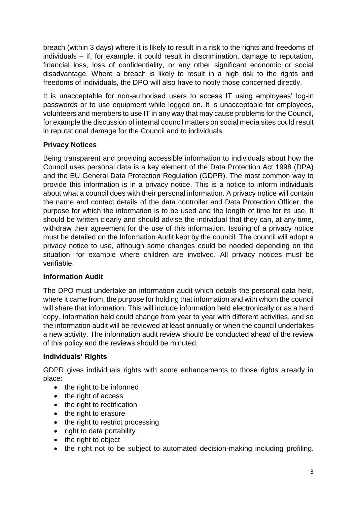breach (within 3 days) where it is likely to result in a risk to the rights and freedoms of individuals – if, for example, it could result in discrimination, damage to reputation, financial loss, loss of confidentiality, or any other significant economic or social disadvantage. Where a breach is likely to result in a high risk to the rights and freedoms of individuals, the DPO will also have to notify those concerned directly.

It is unacceptable for non-authorised users to access IT using employees' log-in passwords or to use equipment while logged on. It is unacceptable for employees, volunteers and members to use IT in any way that may cause problems for the Council, for example the discussion of internal council matters on social media sites could result in reputational damage for the Council and to individuals.

# **Privacy Notices**

Being transparent and providing accessible information to individuals about how the Council uses personal data is a key element of the Data Protection Act 1998 (DPA) and the EU General Data Protection Regulation (GDPR). The most common way to provide this information is in a privacy notice. This is a notice to inform individuals about what a council does with their personal information. A privacy notice will contain the name and contact details of the data controller and Data Protection Officer, the purpose for which the information is to be used and the length of time for its use. It should be written clearly and should advise the individual that they can, at any time, withdraw their agreement for the use of this information. Issuing of a privacy notice must be detailed on the Information Audit kept by the council. The council will adopt a privacy notice to use, although some changes could be needed depending on the situation, for example where children are involved. All privacy notices must be verifiable.

## **Information Audit**

The DPO must undertake an information audit which details the personal data held, where it came from, the purpose for holding that information and with whom the council will share that information. This will include information held electronically or as a hard copy. Information held could change from year to year with different activities, and so the information audit will be reviewed at least annually or when the council undertakes a new activity. The information audit review should be conducted ahead of the review of this policy and the reviews should be minuted.

# **Individuals' Rights**

GDPR gives individuals rights with some enhancements to those rights already in place:

- the right to be informed
- the right of access
- the right to rectification
- the right to erasure
- the right to restrict processing
- right to data portability
- the right to object
- the right not to be subject to automated decision-making including profiling.